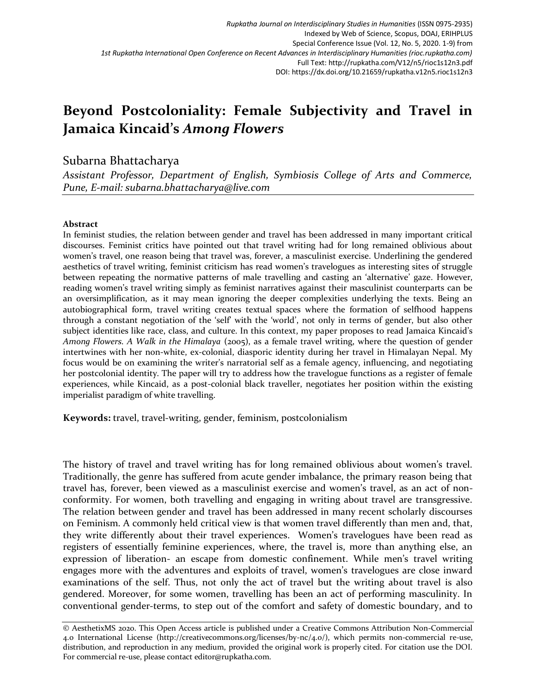# **Beyond Postcoloniality: Female Subjectivity and Travel in Jamaica Kincaid's** *Among Flowers*

# Subarna Bhattacharya

*Assistant Professor, Department of English, Symbiosis College of Arts and Commerce, Pune, E-mail: subarna.bhattacharya@live.com*

# **Abstract**

In feminist studies, the relation between gender and travel has been addressed in many important critical discourses. Feminist critics have pointed out that travel writing had for long remained oblivious about women's travel, one reason being that travel was, forever, a masculinist exercise. Underlining the gendered aesthetics of travel writing, feminist criticism has read women's travelogues as interesting sites of struggle between repeating the normative patterns of male travelling and casting an 'alternative' gaze. However, reading women's travel writing simply as feminist narratives against their masculinist counterparts can be an oversimplification, as it may mean ignoring the deeper complexities underlying the texts. Being an autobiographical form, travel writing creates textual spaces where the formation of selfhood happens through a constant negotiation of the 'self' with the 'world', not only in terms of gender, but also other subject identities like race, class, and culture. In this context, my paper proposes to read Jamaica Kincaid's *Among Flowers. A Walk in the Himalaya* (2005), as a female travel writing, where the question of gender intertwines with her non-white, ex-colonial, diasporic identity during her travel in Himalayan Nepal. My focus would be on examining the writer's narratorial self as a female agency, influencing, and negotiating her postcolonial identity. The paper will try to address how the travelogue functions as a register of female experiences, while Kincaid, as a post-colonial black traveller, negotiates her position within the existing imperialist paradigm of white travelling.

**Keywords:** travel, travel-writing, gender, feminism, postcolonialism

The history of travel and travel writing has for long remained oblivious about women's travel. Traditionally, the genre has suffered from acute gender imbalance, the primary reason being that travel has, forever, been viewed as a masculinist exercise and women's travel, as an act of nonconformity. For women, both travelling and engaging in writing about travel are transgressive. The relation between gender and travel has been addressed in many recent scholarly discourses on Feminism. A commonly held critical view is that women travel differently than men and, that, they write differently about their travel experiences. Women's travelogues have been read as registers of essentially feminine experiences, where, the travel is, more than anything else, an expression of liberation- an escape from domestic confinement. While men's travel writing engages more with the adventures and exploits of travel, women's travelogues are close inward examinations of the self. Thus, not only the act of travel but the writing about travel is also gendered. Moreover, for some women, travelling has been an act of performing masculinity. In conventional gender-terms, to step out of the comfort and safety of domestic boundary, and to

<sup>©</sup> AesthetixMS 2020. This Open Access article is published under a Creative Commons Attribution Non-Commercial 4.0 International License (http://creativecommons.org/licenses/by-nc/4.0/), which permits non-commercial re-use, distribution, and reproduction in any medium, provided the original work is properly cited. For citation use the DOI. For commercial re-use, please contact editor@rupkatha.com.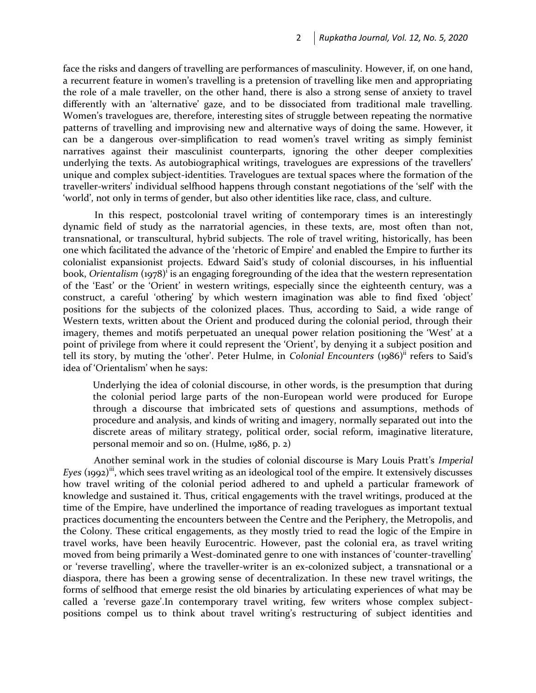face the risks and dangers of travelling are performances of masculinity. However, if, on one hand, a recurrent feature in women's travelling is a pretension of travelling like men and appropriating the role of a male traveller, on the other hand, there is also a strong sense of anxiety to travel differently with an 'alternative' gaze, and to be dissociated from traditional male travelling. Women's travelogues are, therefore, interesting sites of struggle between repeating the normative patterns of travelling and improvising new and alternative ways of doing the same. However, it can be a dangerous over-simplification to read women's travel writing as simply feminist narratives against their masculinist counterparts, ignoring the other deeper complexities underlying the texts. As autobiographical writings, travelogues are expressions of the travellers' unique and complex subject-identities. Travelogues are textual spaces where the formation of the traveller-writers' individual selfhood happens through constant negotiations of the 'self' with the 'world', not only in terms of gender, but also other identities like race, class, and culture.

In this respect, postcolonial travel writing of contemporary times is an interestingly dynamic field of study as the narratorial agencies, in these texts, are, most often than not, transnational, or transcultural, hybrid subjects. The role of travel writing, historically, has been one which facilitated the advance of the 'rhetoric of Empire' and enabled the Empire to further its colonialist expansionist projects. Edward Said's study of colonial discourses, in his influential book, *Orientalism* (1978)<sup>i</sup> is an engaging foregrounding of the idea that the western representation of the 'East' or the 'Orient' in western writings, especially since the eighteenth century, was a construct, a careful 'othering' by which western imagination was able to find fixed 'object' positions for the subjects of the colonized places. Thus, according to Said, a wide range of Western texts, written about the Orient and produced during the colonial period, through their imagery, themes and motifs perpetuated an unequal power relation positioning the 'West' at a point of privilege from where it could represent the 'Orient', by denying it a subject position and tell its story, by muting the 'other'. Peter Hulme, in *Colonial Encounters* (1986)<sup>ii</sup> refers to Said's idea of 'Orientalism' when he says:

Underlying the idea of colonial discourse, in other words, is the presumption that during the colonial period large parts of the non-European world were produced for Europe through a discourse that imbricated sets of questions and assumptions, methods of procedure and analysis, and kinds of writing and imagery, normally separated out into the discrete areas of military strategy, political order, social reform, imaginative literature, personal memoir and so on. (Hulme, 1986, p. 2)

Another seminal work in the studies of colonial discourse is Mary Louis Pratt's *Imperial Eyes* (1992)<sup>iii</sup>, which sees travel writing as an ideological tool of the empire. It extensively discusses how travel writing of the colonial period adhered to and upheld a particular framework of knowledge and sustained it. Thus, critical engagements with the travel writings, produced at the time of the Empire, have underlined the importance of reading travelogues as important textual practices documenting the encounters between the Centre and the Periphery, the Metropolis, and the Colony. These critical engagements, as they mostly tried to read the logic of the Empire in travel works, have been heavily Eurocentric. However, past the colonial era, as travel writing moved from being primarily a West-dominated genre to one with instances of 'counter-travelling' or 'reverse travelling', where the traveller-writer is an ex-colonized subject, a transnational or a diaspora, there has been a growing sense of decentralization. In these new travel writings, the forms of selfhood that emerge resist the old binaries by articulating experiences of what may be called a 'reverse gaze'.In contemporary travel writing, few writers whose complex subjectpositions compel us to think about travel writing's restructuring of subject identities and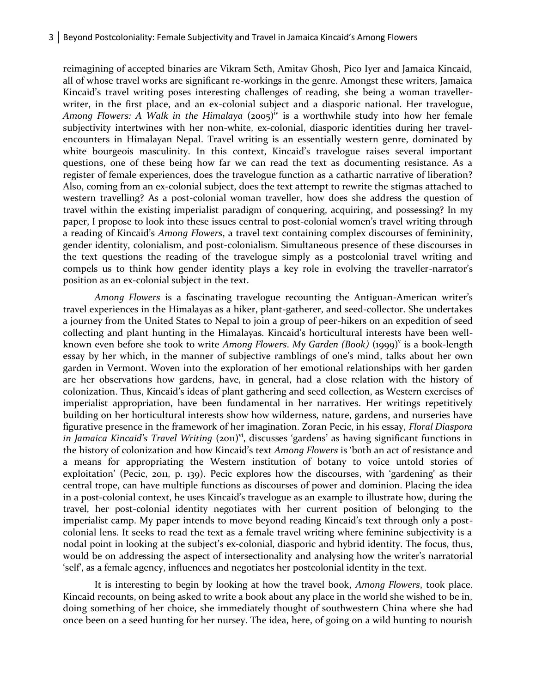#### 3 Beyond Postcoloniality: Female Subjectivity and Travel in Jamaica Kincaid's Among Flowers

reimagining of accepted binaries are Vikram Seth, Amitav Ghosh, Pico Iyer and Jamaica Kincaid, all of whose travel works are significant re-workings in the genre. Amongst these writers, Jamaica Kincaid's travel writing poses interesting challenges of reading, she being a woman travellerwriter, in the first place, and an ex-colonial subject and a diasporic national. Her travelogue, *Among Flowers: A Walk in the Himalaya* (2005)iv is a worthwhile study into how her female subjectivity intertwines with her non-white, ex-colonial, diasporic identities during her travelencounters in Himalayan Nepal. Travel writing is an essentially western genre, dominated by white bourgeois masculinity. In this context, Kincaid's travelogue raises several important questions, one of these being how far we can read the text as documenting resistance. As a register of female experiences, does the travelogue function as a cathartic narrative of liberation? Also, coming from an ex-colonial subject, does the text attempt to rewrite the stigmas attached to western travelling? As a post-colonial woman traveller, how does she address the question of travel within the existing imperialist paradigm of conquering, acquiring, and possessing? In my paper, I propose to look into these issues central to post-colonial women's travel writing through a reading of Kincaid's *Among Flowers*, a travel text containing complex discourses of femininity, gender identity, colonialism, and post-colonialism. Simultaneous presence of these discourses in the text questions the reading of the travelogue simply as a postcolonial travel writing and compels us to think how gender identity plays a key role in evolving the traveller-narrator's position as an ex-colonial subject in the text.

*Among Flowers* is a fascinating travelogue recounting the Antiguan-American writer's travel experiences in the Himalayas as a hiker, plant-gatherer, and seed-collector. She undertakes a journey from the United States to Nepal to join a group of peer-hikers on an expedition of seed collecting and plant hunting in the Himalayas. Kincaid's horticultural interests have been wellknown even before she took to write Among Flowers. My Garden (Book) (1999)<sup>v</sup> is a book-length essay by her which, in the manner of subjective ramblings of one's mind, talks about her own garden in Vermont. Woven into the exploration of her emotional relationships with her garden are her observations how gardens, have, in general, had a close relation with the history of colonization. Thus, Kincaid's ideas of plant gathering and seed collection, as Western exercises of imperialist appropriation, have been fundamental in her narratives. Her writings repetitively building on her horticultural interests show how wilderness, nature, gardens, and nurseries have figurative presence in the framework of her imagination. Zoran Pecic, in his essay, *Floral Diaspora in Jamaica Kincaid's Travel Writing* (2011)<sup>vi</sup>, discusses 'gardens' as having significant functions in the history of colonization and how Kincaid's text *Among Flowers* is 'both an act of resistance and a means for appropriating the Western institution of botany to voice untold stories of exploitation' (Pecic, 2011, p. 139). Pecic explores how the discourses, with 'gardening' as their central trope, can have multiple functions as discourses of power and dominion. Placing the idea in a post-colonial context, he uses Kincaid's travelogue as an example to illustrate how, during the travel, her post-colonial identity negotiates with her current position of belonging to the imperialist camp. My paper intends to move beyond reading Kincaid's text through only a postcolonial lens. It seeks to read the text as a female travel writing where feminine subjectivity is a nodal point in looking at the subject's ex-colonial, diasporic and hybrid identity. The focus, thus, would be on addressing the aspect of intersectionality and analysing how the writer's narratorial 'self', as a female agency, influences and negotiates her postcolonial identity in the text.

It is interesting to begin by looking at how the travel book, *Among Flowers*, took place. Kincaid recounts, on being asked to write a book about any place in the world she wished to be in, doing something of her choice, she immediately thought of southwestern China where she had once been on a seed hunting for her nursey. The idea, here, of going on a wild hunting to nourish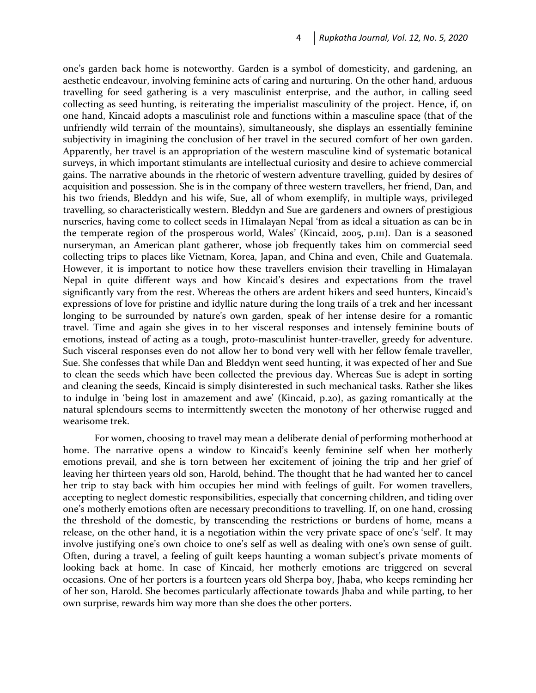one's garden back home is noteworthy. Garden is a symbol of domesticity, and gardening, an aesthetic endeavour, involving feminine acts of caring and nurturing. On the other hand, arduous travelling for seed gathering is a very masculinist enterprise, and the author, in calling seed collecting as seed hunting, is reiterating the imperialist masculinity of the project. Hence, if, on one hand, Kincaid adopts a masculinist role and functions within a masculine space (that of the unfriendly wild terrain of the mountains), simultaneously, she displays an essentially feminine subjectivity in imagining the conclusion of her travel in the secured comfort of her own garden. Apparently, her travel is an appropriation of the western masculine kind of systematic botanical surveys, in which important stimulants are intellectual curiosity and desire to achieve commercial gains. The narrative abounds in the rhetoric of western adventure travelling, guided by desires of acquisition and possession. She is in the company of three western travellers, her friend, Dan, and his two friends, Bleddyn and his wife, Sue, all of whom exemplify, in multiple ways, privileged travelling, so characteristically western. Bleddyn and Sue are gardeners and owners of prestigious nurseries, having come to collect seeds in Himalayan Nepal 'from as ideal a situation as can be in the temperate region of the prosperous world, Wales' (Kincaid, 2005, p.111). Dan is a seasoned nurseryman, an American plant gatherer, whose job frequently takes him on commercial seed collecting trips to places like Vietnam, Korea, Japan, and China and even, Chile and Guatemala. However, it is important to notice how these travellers envision their travelling in Himalayan Nepal in quite different ways and how Kincaid's desires and expectations from the travel significantly vary from the rest. Whereas the others are ardent hikers and seed hunters, Kincaid's expressions of love for pristine and idyllic nature during the long trails of a trek and her incessant longing to be surrounded by nature's own garden, speak of her intense desire for a romantic travel. Time and again she gives in to her visceral responses and intensely feminine bouts of emotions, instead of acting as a tough, proto-masculinist hunter-traveller, greedy for adventure. Such visceral responses even do not allow her to bond very well with her fellow female traveller, Sue. She confesses that while Dan and Bleddyn went seed hunting, it was expected of her and Sue to clean the seeds which have been collected the previous day. Whereas Sue is adept in sorting and cleaning the seeds, Kincaid is simply disinterested in such mechanical tasks. Rather she likes to indulge in 'being lost in amazement and awe' (Kincaid, p.20), as gazing romantically at the natural splendours seems to intermittently sweeten the monotony of her otherwise rugged and wearisome trek.

For women, choosing to travel may mean a deliberate denial of performing motherhood at home. The narrative opens a window to Kincaid's keenly feminine self when her motherly emotions prevail, and she is torn between her excitement of joining the trip and her grief of leaving her thirteen years old son, Harold, behind. The thought that he had wanted her to cancel her trip to stay back with him occupies her mind with feelings of guilt. For women travellers, accepting to neglect domestic responsibilities, especially that concerning children, and tiding over one's motherly emotions often are necessary preconditions to travelling. If, on one hand, crossing the threshold of the domestic, by transcending the restrictions or burdens of home, means a release, on the other hand, it is a negotiation within the very private space of one's 'self'. It may involve justifying one's own choice to one's self as well as dealing with one's own sense of guilt. Often, during a travel, a feeling of guilt keeps haunting a woman subject's private moments of looking back at home. In case of Kincaid, her motherly emotions are triggered on several occasions. One of her porters is a fourteen years old Sherpa boy, Jhaba, who keeps reminding her of her son, Harold. She becomes particularly affectionate towards Jhaba and while parting, to her own surprise, rewards him way more than she does the other porters.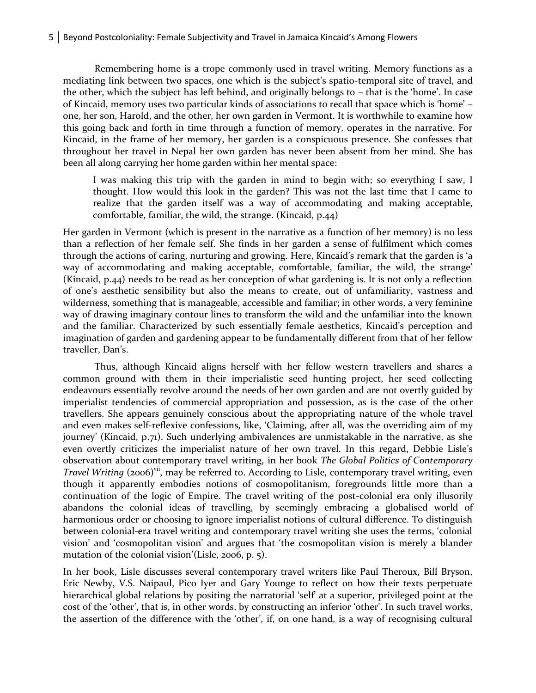Remembering home is a trope commonly used in travel writing. Memory functions as a mediating link between two spaces, one which is the subject's spatio-temporal site of travel, and the other, which the subject has left behind, and originally belongs to – that is the 'home'. In case of Kincaid, memory uses two particular kinds of associations to recall that space which is 'home' – one, her son, Harold, and the other, her own garden in Vermont. It is worthwhile to examine how this going back and forth in time through a function of memory, operates in the narrative. For Kincaid, in the frame of her memory, her garden is a conspicuous presence. She confesses that throughout her travel in Nepal her own garden has never been absent from her mind. She has been all along carrying her home garden within her mental space:

I was making this trip with the garden in mind to begin with; so everything I saw, I thought. How would this look in the garden? This was not the last time that I came to realize that the garden itself was a way of accommodating and making acceptable, comfortable, familiar, the wild, the strange. (Kincaid, p.44)

Her garden in Vermont (which is present in the narrative as a function of her memory) is no less than a reflection of her female self. She finds in her garden a sense of fulfilment which comes through the actions of caring, nurturing and growing. Here, Kincaid's remark that the garden is 'a way of accommodating and making acceptable, comfortable, familiar, the wild, the strange' (Kincaid, p.44) needs to be read as her conception of what gardening is. It is not only a reflection of one's aesthetic sensibility but also the means to create, out of unfamiliarity, vastness and wilderness, something that is manageable, accessible and familiar; in other words, a very feminine way of drawing imaginary contour lines to transform the wild and the unfamiliar into the known and the familiar. Characterized by such essentially female aesthetics, Kincaid's perception and imagination of garden and gardening appear to be fundamentally different from that of her fellow traveller, Dan's.

Thus, although Kincaid aligns herself with her fellow western travellers and shares a common ground with them in their imperialistic seed hunting project, her seed collecting endeavours essentially revolve around the needs of her own garden and are not overtly guided by imperialist tendencies of commercial appropriation and possession, as is the case of the other travellers. She appears genuinely conscious about the appropriating nature of the whole travel and even makes self-reflexive confessions, like, 'Claiming, after all, was the overriding aim of my journey' (Kincaid, p.71). Such underlying ambivalences are unmistakable in the narrative, as she even overtly criticizes the imperialist nature of her own travel. In this regard, Debbie Lisle's observation about contemporary travel writing, in her book *The Global Politics of Contemporary Travel Writing* (2006)<sup>vii</sup>, may be referred to. According to Lisle, contemporary travel writing, even though it apparently embodies notions of cosmopolitanism, foregrounds little more than a continuation of the logic of Empire. The travel writing of the post-colonial era only illusorily abandons the colonial ideas of travelling, by seemingly embracing a globalised world of harmonious order or choosing to ignore imperialist notions of cultural difference. To distinguish between colonial-era travel writing and contemporary travel writing she uses the terms, 'colonial vision' and 'cosmopolitan vision' and argues that 'the cosmopolitan vision is merely a blander mutation of the colonial vision'(Lisle, 2006, p. 5).

In her book, Lisle discusses several contemporary travel writers like Paul Theroux, Bill Bryson, Eric Newby, V.S. Naipaul, Pico Iyer and Gary Younge to reflect on how their texts perpetuate hierarchical global relations by positing the narratorial 'self' at a superior, privileged point at the cost of the 'other', that is, in other words, by constructing an inferior 'other'. In such travel works, the assertion of the difference with the 'other', if, on one hand, is a way of recognising cultural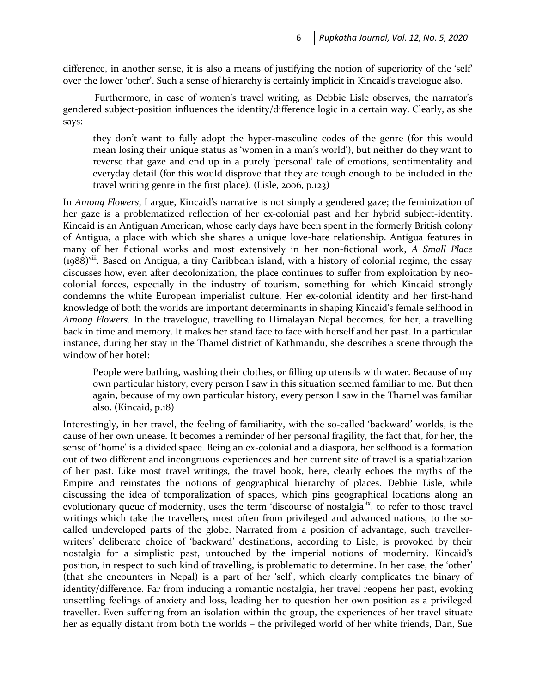difference, in another sense, it is also a means of justifying the notion of superiority of the 'self' over the lower 'other'. Such a sense of hierarchy is certainly implicit in Kincaid's travelogue also.

Furthermore, in case of women's travel writing, as Debbie Lisle observes, the narrator's gendered subject-position influences the identity/difference logic in a certain way. Clearly, as she says:

they don't want to fully adopt the hyper-masculine codes of the genre (for this would mean losing their unique status as 'women in a man's world'), but neither do they want to reverse that gaze and end up in a purely 'personal' tale of emotions, sentimentality and everyday detail (for this would disprove that they are tough enough to be included in the travel writing genre in the first place). (Lisle, 2006, p.123)

In *Among Flowers*, I argue, Kincaid's narrative is not simply a gendered gaze; the feminization of her gaze is a problematized reflection of her ex-colonial past and her hybrid subject-identity. Kincaid is an Antiguan American, whose early days have been spent in the formerly British colony of Antigua, a place with which she shares a unique love-hate relationship. Antigua features in many of her fictional works and most extensively in her non-fictional work, *A Small Place*   $(1988)$ <sup>viii</sup>. Based on Antigua, a tiny Caribbean island, with a history of colonial regime, the essay discusses how, even after decolonization, the place continues to suffer from exploitation by neocolonial forces, especially in the industry of tourism, something for which Kincaid strongly condemns the white European imperialist culture. Her ex-colonial identity and her first-hand knowledge of both the worlds are important determinants in shaping Kincaid's female selfhood in *Among Flowers*. In the travelogue, travelling to Himalayan Nepal becomes, for her, a travelling back in time and memory. It makes her stand face to face with herself and her past. In a particular instance, during her stay in the Thamel district of Kathmandu, she describes a scene through the window of her hotel:

People were bathing, washing their clothes, or filling up utensils with water. Because of my own particular history, every person I saw in this situation seemed familiar to me. But then again, because of my own particular history, every person I saw in the Thamel was familiar also. (Kincaid, p.18)

Interestingly, in her travel, the feeling of familiarity, with the so-called 'backward' worlds, is the cause of her own unease. It becomes a reminder of her personal fragility, the fact that, for her, the sense of 'home' is a divided space. Being an ex-colonial and a diaspora, her selfhood is a formation out of two different and incongruous experiences and her current site of travel is a spatialization of her past. Like most travel writings, the travel book, here, clearly echoes the myths of the Empire and reinstates the notions of geographical hierarchy of places. Debbie Lisle, while discussing the idea of temporalization of spaces, which pins geographical locations along an evolutionary queue of modernity, uses the term 'discourse of nostalgia'<sup>ix</sup>, to refer to those travel writings which take the travellers, most often from privileged and advanced nations, to the socalled undeveloped parts of the globe. Narrated from a position of advantage, such travellerwriters' deliberate choice of 'backward' destinations, according to Lisle, is provoked by their nostalgia for a simplistic past, untouched by the imperial notions of modernity. Kincaid's position, in respect to such kind of travelling, is problematic to determine. In her case, the 'other' (that she encounters in Nepal) is a part of her 'self', which clearly complicates the binary of identity/difference. Far from inducing a romantic nostalgia, her travel reopens her past, evoking unsettling feelings of anxiety and loss, leading her to question her own position as a privileged traveller. Even suffering from an isolation within the group, the experiences of her travel situate her as equally distant from both the worlds – the privileged world of her white friends, Dan, Sue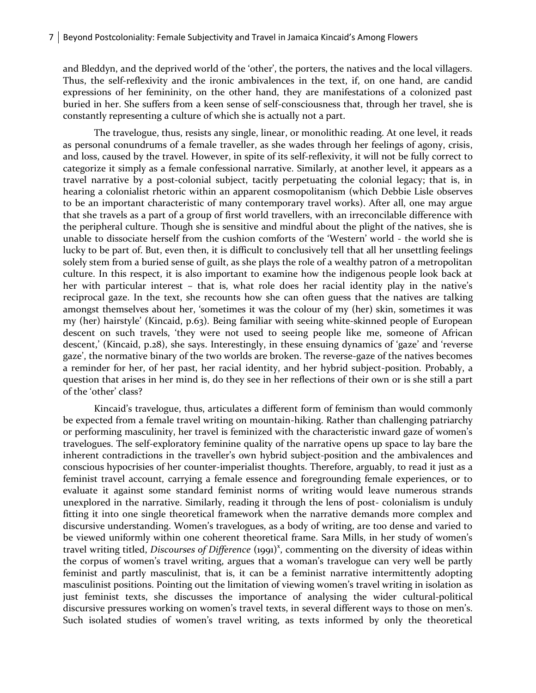and Bleddyn, and the deprived world of the 'other', the porters, the natives and the local villagers. Thus, the self-reflexivity and the ironic ambivalences in the text, if, on one hand, are candid expressions of her femininity, on the other hand, they are manifestations of a colonized past buried in her. She suffers from a keen sense of self-consciousness that, through her travel, she is constantly representing a culture of which she is actually not a part.

The travelogue, thus, resists any single, linear, or monolithic reading. At one level, it reads as personal conundrums of a female traveller, as she wades through her feelings of agony, crisis, and loss, caused by the travel. However, in spite of its self-reflexivity, it will not be fully correct to categorize it simply as a female confessional narrative. Similarly, at another level, it appears as a travel narrative by a post-colonial subject, tacitly perpetuating the colonial legacy; that is, in hearing a colonialist rhetoric within an apparent cosmopolitanism (which Debbie Lisle observes to be an important characteristic of many contemporary travel works). After all, one may argue that she travels as a part of a group of first world travellers, with an irreconcilable difference with the peripheral culture. Though she is sensitive and mindful about the plight of the natives, she is unable to dissociate herself from the cushion comforts of the 'Western' world - the world she is lucky to be part of. But, even then, it is difficult to conclusively tell that all her unsettling feelings solely stem from a buried sense of guilt, as she plays the role of a wealthy patron of a metropolitan culture. In this respect, it is also important to examine how the indigenous people look back at her with particular interest – that is, what role does her racial identity play in the native's reciprocal gaze. In the text, she recounts how she can often guess that the natives are talking amongst themselves about her, 'sometimes it was the colour of my (her) skin, sometimes it was my (her) hairstyle' (Kincaid, p.63). Being familiar with seeing white-skinned people of European descent on such travels, 'they were not used to seeing people like me, someone of African descent,' (Kincaid, p.28), she says. Interestingly, in these ensuing dynamics of 'gaze' and 'reverse gaze', the normative binary of the two worlds are broken. The reverse-gaze of the natives becomes a reminder for her, of her past, her racial identity, and her hybrid subject-position. Probably, a question that arises in her mind is, do they see in her reflections of their own or is she still a part of the 'other' class?

Kincaid's travelogue, thus, articulates a different form of feminism than would commonly be expected from a female travel writing on mountain-hiking. Rather than challenging patriarchy or performing masculinity, her travel is feminized with the characteristic inward gaze of women's travelogues. The self-exploratory feminine quality of the narrative opens up space to lay bare the inherent contradictions in the traveller's own hybrid subject-position and the ambivalences and conscious hypocrisies of her counter-imperialist thoughts. Therefore, arguably, to read it just as a feminist travel account, carrying a female essence and foregrounding female experiences, or to evaluate it against some standard feminist norms of writing would leave numerous strands unexplored in the narrative. Similarly, reading it through the lens of post- colonialism is unduly fitting it into one single theoretical framework when the narrative demands more complex and discursive understanding. Women's travelogues, as a body of writing, are too dense and varied to be viewed uniformly within one coherent theoretical frame. Sara Mills, in her study of women's travel writing titled, *Discourses of Difference* (1991)<sup>x</sup>, commenting on the diversity of ideas within the corpus of women's travel writing, argues that a woman's travelogue can very well be partly feminist and partly masculinist, that is, it can be a feminist narrative intermittently adopting masculinist positions. Pointing out the limitation of viewing women's travel writing in isolation as just feminist texts, she discusses the importance of analysing the wider cultural-political discursive pressures working on women's travel texts, in several different ways to those on men's. Such isolated studies of women's travel writing, as texts informed by only the theoretical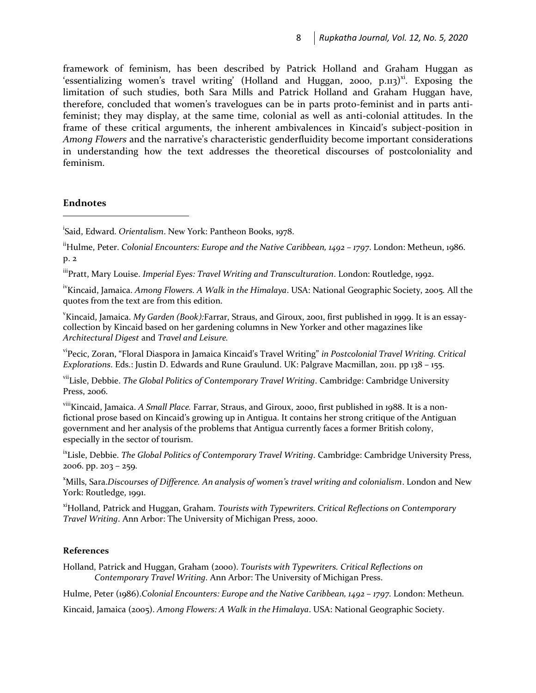framework of feminism, has been described by Patrick Holland and Graham Huggan as 'essentializing women's travel writing' (Holland and Huggan, 2000, p.113) $xi$ . Exposing the limitation of such studies, both Sara Mills and Patrick Holland and Graham Huggan have, therefore, concluded that women's travelogues can be in parts proto-feminist and in parts antifeminist; they may display, at the same time, colonial as well as anti-colonial attitudes. In the frame of these critical arguments, the inherent ambivalences in Kincaid's subject-position in *Among Flowers* and the narrative's characteristic genderfluidity become important considerations in understanding how the text addresses the theoretical discourses of postcoloniality and feminism.

# **Endnotes**

 $\overline{a}$ 

i Said, Edward. *Orientalism*. New York: Pantheon Books, 1978.

iiHulme, Peter. *Colonial Encounters: Europe and the Native Caribbean, 1492 – 1797*. London: Metheun, 1986. p. 2

iiiPratt. Mary Louise. *Imperial Eyes: Travel Writing and Transculturation*. London: Routledge, 1992.

ivKincaid, Jamaica. *Among Flowers. A Walk in the Himalaya*. USA: National Geographic Society, 2005. All the quotes from the text are from this edition.

v Kincaid, Jamaica. *My Garden (Book):*Farrar, Straus, and Giroux, 2001, first published in 1999. It is an essaycollection by Kincaid based on her gardening columns in New Yorker and other magazines like *Architectural Digest* and *Travel and Leisure.*

viPecic, Zoran, "Floral Diaspora in Jamaica Kincaid's Travel Writing" *in Postcolonial Travel Writing. Critical Explorations*. Eds.: Justin D. Edwards and Rune Graulund. UK: Palgrave Macmillan, 2011. pp 138 – 155.

viiLisle, Debbie. *The Global Politics of Contemporary Travel Writing*. Cambridge: Cambridge University Press, 2006.

viiiKincaid, Jamaica. *A Small Place.* Farrar, Straus, and Giroux, 2000, first published in 1988. It is a nonfictional prose based on Kincaid's growing up in Antigua. It contains her strong critique of the Antiguan government and her analysis of the problems that Antigua currently faces a former British colony, especially in the sector of tourism.

ixLisle, Debbie. *The Global Politics of Contemporary Travel Writing*. Cambridge: Cambridge University Press, 2006. pp. 203 – 259.

<sup>x</sup>Mills, Sara.*Discourses of Difference. An analysis of women's travel writing and colonialism*. London and New York: Routledge, 1991.

xiHolland, Patrick and Huggan, Graham. *Tourists with Typewriters. Critical Reflections on Contemporary Travel Writing*. Ann Arbor: The University of Michigan Press, 2000.

### **References**

Holland, Patrick and Huggan, Graham (2000). *Tourists with Typewriters. Critical Reflections on Contemporary Travel Writing*. Ann Arbor: The University of Michigan Press.

Hulme, Peter (1986).*Colonial Encounters: Europe and the Native Caribbean, 1492 - 1797. London: Metheun.* 

Kincaid, Jamaica (2005). *Among Flowers: A Walk in the Himalaya*. USA: National Geographic Society.